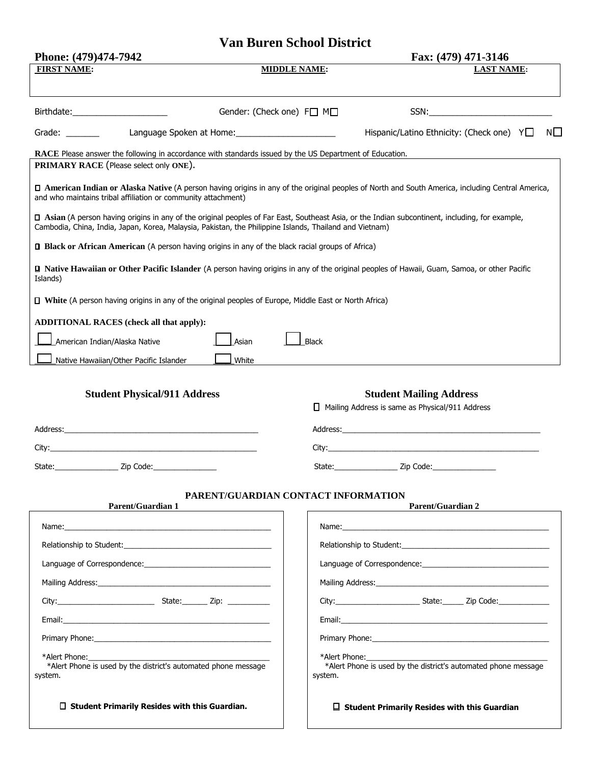## **Van Buren School District**

| Phone: (479)474-7942                                                                                                                                                                                                                                        |                           | Fax: (479) 471-3146                                                                      |  |  |
|-------------------------------------------------------------------------------------------------------------------------------------------------------------------------------------------------------------------------------------------------------------|---------------------------|------------------------------------------------------------------------------------------|--|--|
| <b>FIRST NAME:</b>                                                                                                                                                                                                                                          | <b>MIDDLE NAME:</b>       | <b>LAST NAME:</b>                                                                        |  |  |
|                                                                                                                                                                                                                                                             |                           |                                                                                          |  |  |
|                                                                                                                                                                                                                                                             | Gender: (Check one) F□ M□ |                                                                                          |  |  |
| Language Spoken at Home: 1997 Manuscript Annual Manuscript Annual Manuscript Annual Manuscript Annual Manuscri<br>Grade: The Controller Controller                                                                                                          |                           | Hispanic/Latino Ethnicity: (Check one) $Y \Box$<br>NL.                                   |  |  |
| RACE Please answer the following in accordance with standards issued by the US Department of Education.<br>PRIMARY RACE (Please select only ONE).                                                                                                           |                           |                                                                                          |  |  |
| D American Indian or Alaska Native (A person having origins in any of the original peoples of North and South America, including Central America,<br>and who maintains tribal affiliation or community attachment)                                          |                           |                                                                                          |  |  |
| □ Asian (A person having origins in any of the original peoples of Far East, Southeast Asia, or the Indian subcontinent, including, for example,<br>Cambodia, China, India, Japan, Korea, Malaysia, Pakistan, the Philippine Islands, Thailand and Vietnam) |                           |                                                                                          |  |  |
| <b>Q</b> Black or African American (A person having origins in any of the black racial groups of Africa)                                                                                                                                                    |                           |                                                                                          |  |  |
| <b>Q</b> Native Hawaiian or Other Pacific Islander (A person having origins in any of the original peoples of Hawaii, Guam, Samoa, or other Pacific<br>Islands)                                                                                             |                           |                                                                                          |  |  |
| $\Box$ White (A person having origins in any of the original peoples of Europe, Middle East or North Africa)                                                                                                                                                |                           |                                                                                          |  |  |
| <b>ADDITIONAL RACES (check all that apply):</b>                                                                                                                                                                                                             |                           |                                                                                          |  |  |
| American Indian/Alaska Native<br>Asian                                                                                                                                                                                                                      | <b>Black</b>              |                                                                                          |  |  |
| White<br>Native Hawaiian/Other Pacific Islander                                                                                                                                                                                                             |                           |                                                                                          |  |  |
|                                                                                                                                                                                                                                                             |                           |                                                                                          |  |  |
| <b>Student Physical/911 Address</b>                                                                                                                                                                                                                         |                           | <b>Student Mailing Address</b><br>$\Box$ Mailing Address is same as Physical/911 Address |  |  |
| Address: Address:                                                                                                                                                                                                                                           |                           |                                                                                          |  |  |
|                                                                                                                                                                                                                                                             |                           |                                                                                          |  |  |
| State: <u>Zip Code:</u>                                                                                                                                                                                                                                     |                           | State: Zip Code:                                                                         |  |  |
|                                                                                                                                                                                                                                                             |                           |                                                                                          |  |  |
| PARENT/GUARDIAN CONTACT INFORMATION<br><b>Parent/Guardian 1</b>                                                                                                                                                                                             |                           | <b>Parent/Guardian 2</b>                                                                 |  |  |
|                                                                                                                                                                                                                                                             |                           |                                                                                          |  |  |
| Relationship to Student:                                                                                                                                                                                                                                    |                           | Relationship to Student:                                                                 |  |  |
| Language of Correspondence:                                                                                                                                                                                                                                 |                           | Language of Correspondence:                                                              |  |  |
| Mailing Address: National Address:                                                                                                                                                                                                                          |                           | Mailing Address: National Address:                                                       |  |  |
|                                                                                                                                                                                                                                                             |                           |                                                                                          |  |  |
|                                                                                                                                                                                                                                                             |                           |                                                                                          |  |  |
| <b>Primary Phone:</b> The contract of the contract of the contract of the contract of the contract of the contract of the contract of the contract of the contract of the contract of the contract of the contract of the contract                          |                           |                                                                                          |  |  |
| *Alert Phone:<br>*Alert Phone is used by the district's automated phone message<br>system.                                                                                                                                                                  | *Alert Phone:<br>system.  | *Alert Phone is used by the district's automated phone message                           |  |  |
| $\Box$ Student Primarily Resides with this Guardian.                                                                                                                                                                                                        |                           | $\Box$ Student Primarily Resides with this Guardian                                      |  |  |